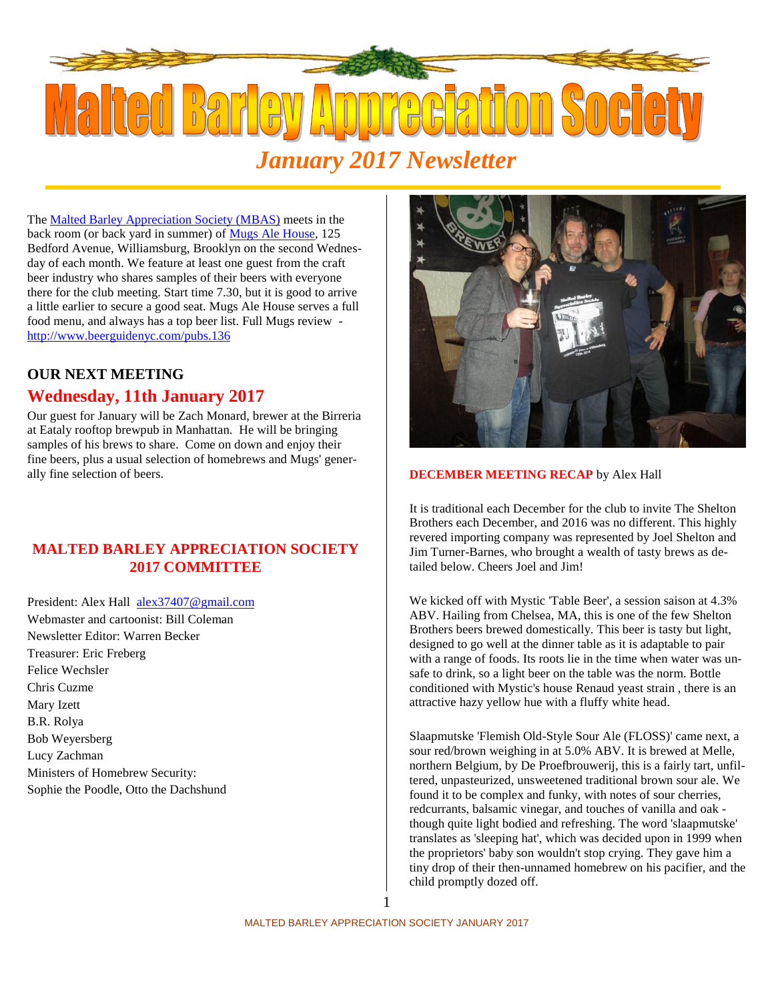

The Malted Barley Appreciation Society (MBAS) meets in the back room (or back yard in summer) of Mugs Ale House, 125 Bedford Avenue, Williamsburg, Brooklyn on the second Wednesday of each month. We feature at least one guest from the craft beer industry who shares samples of their beers with everyone there for the club meeting. Start time 7.30, but it is good to arrive a little earlier to secure a good seat. Mugs Ale House serves a full food menu, and always has a top beer list. Full Mugs review http://www.beerguidenyc.com/pubs.136

## **OUR NEXT MEETING Wednesday, 11th January 2017**

Our guest for January will be Zach Monard, brewer at the Birreria at Eataly rooftop brewpub in Manhattan. He will be bringing samples of his brews to share. Come on down and enjoy their fine beers, plus a usual selection of homebrews and Mugs' generally fine selection of beers.

## **MALTED BARLEY APPRECIATION SOCIETY 2017 COMMITTEE**

President: Alex Hall alex37407@gmail.com Webmaster and cartoonist: Bill Coleman Newsletter Editor: Warren Becker Treasurer: Eric Freberg Felice Wechsler Chris Cuzme Mary Izett B.R. Rolya Bob Weyersberg Lucy Zachman Ministers of Homebrew Security: Sophie the Poodle, Otto the Dachshund



## **DECEMBER MEETING RECAP** by Alex Hall

It is traditional each December for the club to invite The Shelton Brothers each December, and 2016 was no different. This highly revered importing company was represented by Joel Shelton and Jim Turner-Barnes, who brought a wealth of tasty brews as detailed below. Cheers Joel and Jim!

We kicked off with Mystic 'Table Beer', a session saison at 4.3% ABV. Hailing from Chelsea, MA, this is one of the few Shelton Brothers beers brewed domestically. This beer is tasty but light, designed to go well at the dinner table as it is adaptable to pair with a range of foods. Its roots lie in the time when water was unsafe to drink, so a light beer on the table was the norm. Bottle conditioned with Mystic's house Renaud yeast strain , there is an attractive hazy yellow hue with a fluffy white head.

Slaapmutske 'Flemish Old-Style Sour Ale (FLOSS)' came next, a sour red/brown weighing in at 5.0% ABV. It is brewed at Melle, northern Belgium, by De Proefbrouwerij, this is a fairly tart, unfiltered, unpasteurized, unsweetened traditional brown sour ale. We found it to be complex and funky, with notes of sour cherries, redcurrants, balsamic vinegar, and touches of vanilla and oak though quite light bodied and refreshing. The word 'slaapmutske' translates as 'sleeping hat', which was decided upon in 1999 when the proprietors' baby son wouldn't stop crying. They gave him a tiny drop of their then-unnamed homebrew on his pacifier, and the child promptly dozed off.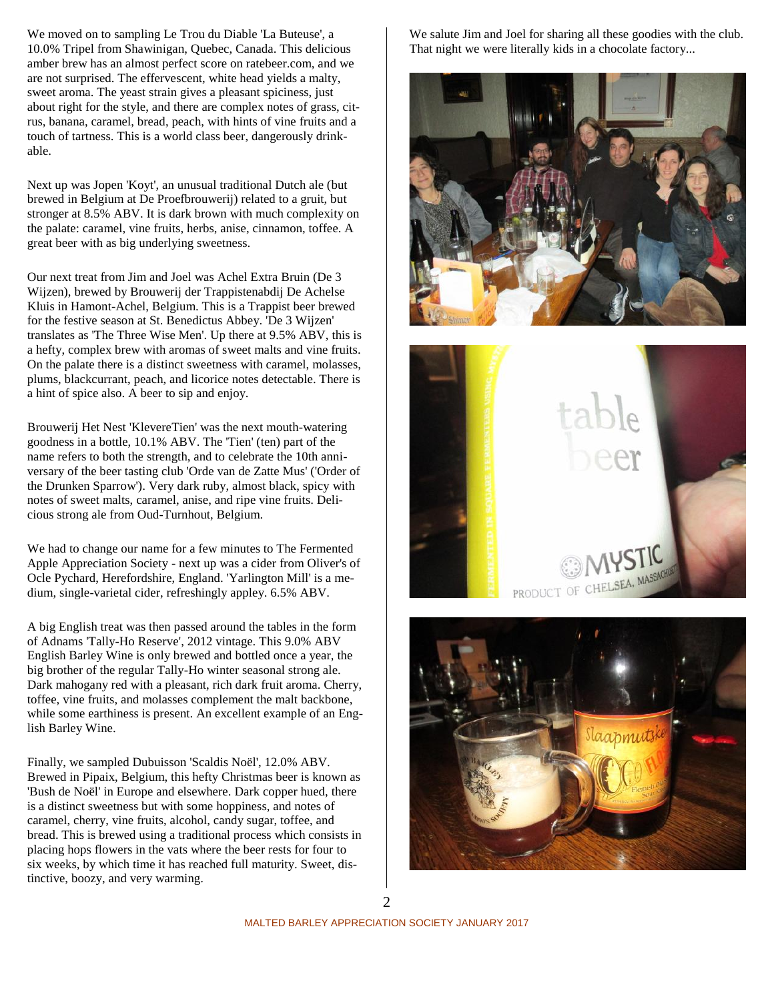We moved on to sampling Le Trou du Diable 'La Buteuse', a 10.0% Tripel from Shawinigan, Quebec, Canada. This delicious amber brew has an almost perfect score on ratebeer.com, and we are not surprised. The effervescent, white head yields a malty, sweet aroma. The yeast strain gives a pleasant spiciness, just about right for the style, and there are complex notes of grass, citrus, banana, caramel, bread, peach, with hints of vine fruits and a touch of tartness. This is a world class beer, dangerously drinkable.

Next up was Jopen 'Koyt', an unusual traditional Dutch ale (but brewed in Belgium at De Proefbrouwerij) related to a gruit, but stronger at 8.5% ABV. It is dark brown with much complexity on the palate: caramel, vine fruits, herbs, anise, cinnamon, toffee. A great beer with as big underlying sweetness.

Our next treat from Jim and Joel was Achel Extra Bruin (De 3 Wijzen), brewed by Brouwerij der Trappistenabdij De Achelse Kluis in Hamont-Achel, Belgium. This is a Trappist beer brewed for the festive season at St. Benedictus Abbey. 'De 3 Wijzen' translates as 'The Three Wise Men'. Up there at 9.5% ABV, this is a hefty, complex brew with aromas of sweet malts and vine fruits. On the palate there is a distinct sweetness with caramel, molasses, plums, blackcurrant, peach, and licorice notes detectable. There is a hint of spice also. A beer to sip and enjoy.

Brouwerij Het Nest 'KlevereTien' was the next mouth-watering goodness in a bottle, 10.1% ABV. The 'Tien' (ten) part of the name refers to both the strength, and to celebrate the 10th anniversary of the beer tasting club 'Orde van de Zatte Mus' ('Order of the Drunken Sparrow'). Very dark ruby, almost black, spicy with notes of sweet malts, caramel, anise, and ripe vine fruits. Delicious strong ale from Oud-Turnhout, Belgium.

We had to change our name for a few minutes to The Fermented Apple Appreciation Society - next up was a cider from Oliver's of Ocle Pychard, Herefordshire, England. 'Yarlington Mill' is a medium, single-varietal cider, refreshingly appley. 6.5% ABV.

A big English treat was then passed around the tables in the form of Adnams 'Tally-Ho Reserve', 2012 vintage. This 9.0% ABV English Barley Wine is only brewed and bottled once a year, the big brother of the regular Tally-Ho winter seasonal strong ale. Dark mahogany red with a pleasant, rich dark fruit aroma. Cherry, toffee, vine fruits, and molasses complement the malt backbone, while some earthiness is present. An excellent example of an English Barley Wine.

Finally, we sampled Dubuisson 'Scaldis Noël', 12.0% ABV. Brewed in Pipaix, Belgium, this hefty Christmas beer is known as 'Bush de Noël' in Europe and elsewhere. Dark copper hued, there is a distinct sweetness but with some hoppiness, and notes of caramel, cherry, vine fruits, alcohol, candy sugar, toffee, and bread. This is brewed using a traditional process which consists in placing hops flowers in the vats where the beer rests for four to six weeks, by which time it has reached full maturity. Sweet, distinctive, boozy, and very warming.

We salute Jim and Joel for sharing all these goodies with the club. That night we were literally kids in a chocolate factory...





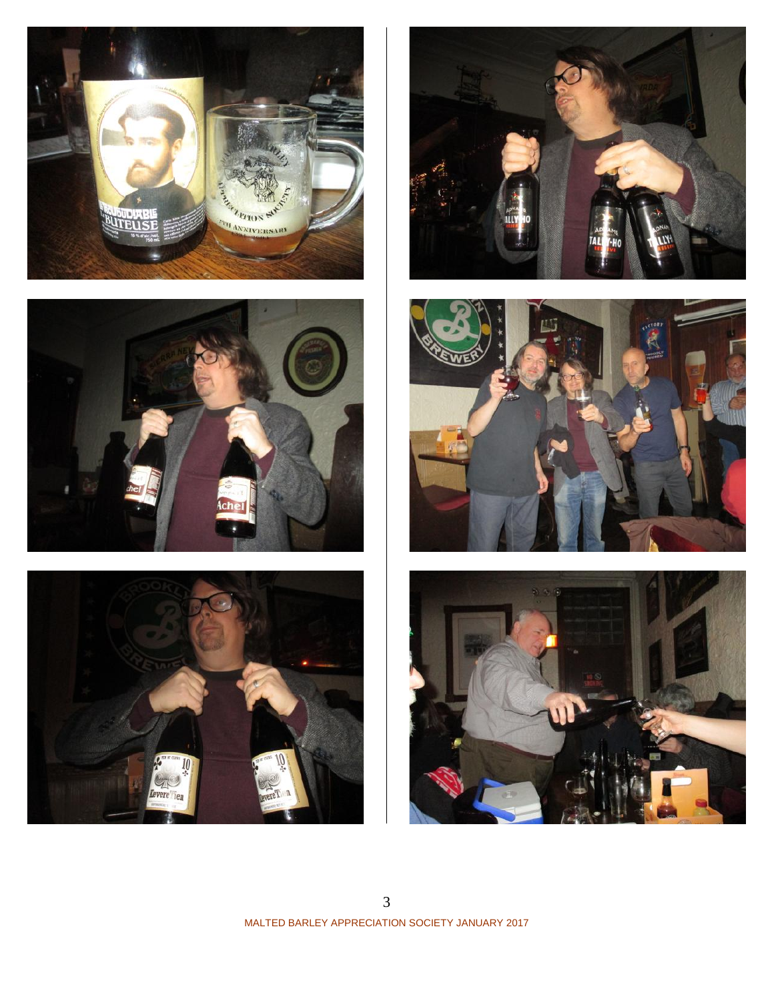